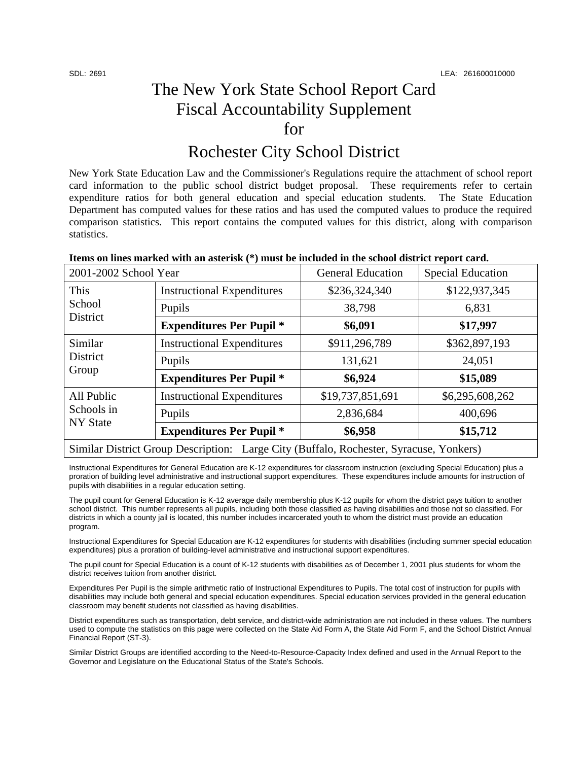**District** 

Similar District

All Public Schools in NY State

# The New York State School Report Card Fiscal Accountability Supplement for

## Rochester City School District

New York State Education Law and the Commissioner's Regulations require the attachment of school report card information to the public school district budget proposal. These requirements refer to certain expenditure ratios for both general education and special education students. The State Education Department has computed values for these ratios and has used the computed values to produce the required comparison statistics. This report contains the computed values for this district, along with comparison statistics.

| Tiems on tines marked with an asterisk (*) must be included in the school district report card. |                                   |                          |                          |  |  |
|-------------------------------------------------------------------------------------------------|-----------------------------------|--------------------------|--------------------------|--|--|
| 2001-2002 School Year                                                                           |                                   | <b>General Education</b> | <b>Special Education</b> |  |  |
| This                                                                                            | <b>Instructional Expenditures</b> | \$236,324,340            | \$122,937,345            |  |  |
| School                                                                                          | $D_{\text{max}} 1$                | 20.700                   | $\epsilon$ 021           |  |  |

Pupils 38,798 6,831

**Expenditures Per Pupil \*** | \$6,091 | \$17,997

Instructional Expenditures  $\vert$  \$911,296,789  $\vert$  \$362,897,193 Pupils 24,051

Instructional Expenditures | \$19,737,851,691 | \$6,295,608,262

Pupils 2,836,684 400,696

**Expenditures Per Pupil \* \$6,958 \$15,712** 

#### **Items on lines marked with an asterisk (\*) must be included in the school district report card.**

Expenditures Per Pupil \* 131,621 131,621 24,051<br>
Expenditures Per Pupil \* **\$6,924** \$15,089

Similar District Group Description: Large City (Buffalo, Rochester, Syracuse, Yonkers)

Instructional Expenditures for General Education are K-12 expenditures for classroom instruction (excluding Special Education) plus a proration of building level administrative and instructional support expenditures. These expenditures include amounts for instruction of pupils with disabilities in a regular education setting.

The pupil count for General Education is K-12 average daily membership plus K-12 pupils for whom the district pays tuition to another school district. This number represents all pupils, including both those classified as having disabilities and those not so classified. For districts in which a county jail is located, this number includes incarcerated youth to whom the district must provide an education program.

Instructional Expenditures for Special Education are K-12 expenditures for students with disabilities (including summer special education expenditures) plus a proration of building-level administrative and instructional support expenditures.

The pupil count for Special Education is a count of K-12 students with disabilities as of December 1, 2001 plus students for whom the district receives tuition from another district.

Expenditures Per Pupil is the simple arithmetic ratio of Instructional Expenditures to Pupils. The total cost of instruction for pupils with disabilities may include both general and special education expenditures. Special education services provided in the general education classroom may benefit students not classified as having disabilities.

District expenditures such as transportation, debt service, and district-wide administration are not included in these values. The numbers used to compute the statistics on this page were collected on the State Aid Form A, the State Aid Form F, and the School District Annual Financial Report (ST-3).

Similar District Groups are identified according to the Need-to-Resource-Capacity Index defined and used in the Annual Report to the Governor and Legislature on the Educational Status of the State's Schools.